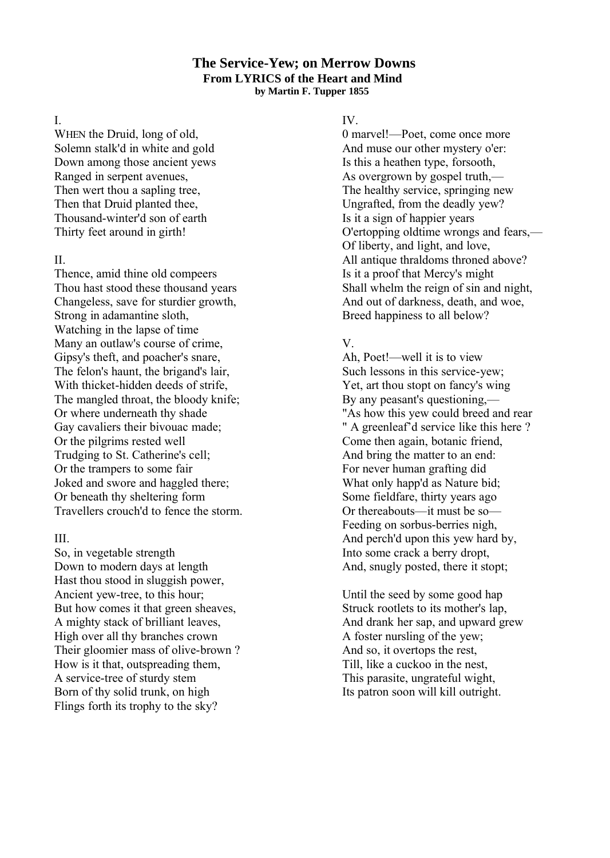#### **The Service-Yew; on Merrow Downs From LYRICS of the Heart and Mind by Martin F. Tupper 1855**

I.

WHEN the Druid, long of old, Solemn stalk'd in white and gold Down among those ancient yews Ranged in serpent avenues, Then wert thou a sapling tree, Then that Druid planted thee, Thousand-winter'd son of earth Thirty feet around in girth!

### $II$ .

Thence, amid thine old compeers Thou hast stood these thousand years Changeless, save for sturdier growth, Strong in adamantine sloth, Watching in the lapse of time Many an outlaw's course of crime, Gipsy's theft, and poacher's snare, The felon's haunt, the brigand's lair, With thicket-hidden deeds of strife, The mangled throat, the bloody knife; Or where underneath thy shade Gay cavaliers their bivouac made; Or the pilgrims rested well Trudging to St. Catherine's cell; Or the trampers to some fair Joked and swore and haggled there; Or beneath thy sheltering form Travellers crouch'd to fence the storm.

# III.

So, in vegetable strength Down to modern days at length Hast thou stood in sluggish power, Ancient yew-tree, to this hour; But how comes it that green sheaves, A mighty stack of brilliant leaves, High over all thy branches crown Their gloomier mass of olive-brown ? How is it that, outspreading them, A service-tree of sturdy stem Born of thy solid trunk, on high Flings forth its trophy to the sky?

## IV.

0 marvel!—Poet, come once more And muse our other mystery o'er: Is this a heathen type, forsooth, As overgrown by gospel truth,— The healthy service, springing new Ungrafted, from the deadly yew? Is it a sign of happier years O'ertopping oldtime wrongs and fears,— Of liberty, and light, and love, All antique thraldoms throned above? Is it a proof that Mercy's might Shall whelm the reign of sin and night, And out of darkness, death, and woe, Breed happiness to all below?

# V.

Ah, Poet!—well it is to view Such lessons in this service-yew; Yet, art thou stopt on fancy's wing By any peasant's questioning,— "As how this yew could breed and rear " A greenleaf'd service like this here ? Come then again, botanic friend, And bring the matter to an end: For never human grafting did What only happ'd as Nature bid; Some fieldfare, thirty years ago Or thereabouts—it must be so— Feeding on sorbus-berries nigh, And perch'd upon this yew hard by, Into some crack a berry dropt, And, snugly posted, there it stopt;

Until the seed by some good hap Struck rootlets to its mother's lap, And drank her sap, and upward grew A foster nursling of the yew; And so, it overtops the rest, Till, like a cuckoo in the nest, This parasite, ungrateful wight, Its patron soon will kill outright.